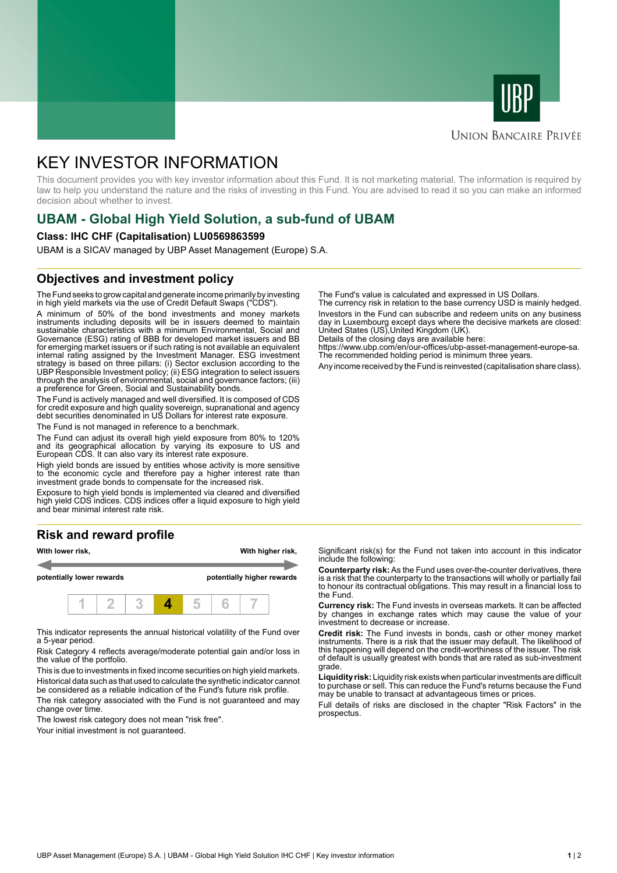



# **UNION BANCAIRE PRIVÉE**

# KEY INVESTOR INFORMATION

This document provides you with key investor information about this Fund. It is not marketing material. The information is required by law to help you understand the nature and the risks of investing in this Fund. You are advised to read it so you can make an informed decision about whether to invest.

# **UBAM - Global High Yield Solution, a sub-fund of UBAM**

#### **Class: IHC CHF (Capitalisation) LU0569863599**

UBAM is a SICAV managed by UBP Asset Management (Europe) S.A.

# **Objectives and investment policy**

The Fund seeks to grow capital and generate income primarily by investing in high yield markets via the use of Credit Default Swaps ("CDS").

A minimum of 50% of the bond investments and money markets instruments including deposits will be in issuers deemed to maintain sustainable characteristics with a minimum Environmental, Social and Governance (ESG) rating of BBB for developed market issuers and BB for emerging market issuers or if such rating is not available an equivalent internal rating assigned by the Investment Manager. ESG investment strategy is based on three pillars: (i) Sector exclusion according to the UBP Responsible Investment policy; (ii) ESG integration to select issuers through the analysis of environmental, social and governance factors; (iii) a preference for Green, Social and Sustainability bonds.

The Fund is actively managed and well diversified. It is composed of CDS for credit exposure and high quality sovereign, supranational and agency debt securities denominated in US Dollars for interest rate exposure.

The Fund is not managed in reference to a benchmark.

The Fund can adjust its overall high yield exposure from 80% to 120% and its geographical allocation by varying its exposure to US and European CDS. It can also vary its interest rate exposure.

High yield bonds are issued by entities whose activity is more sensitive to the economic cycle and therefore pay a higher interest rate than investment grade bonds to compensate for the increased risk.

Exposure to high yield bonds is implemented via cleared and diversified high yield CDS indices. CDS indices offer a liquid exposure to high yield and bear minimal interest rate risk.

# **Risk and reward profile**



This indicator represents the annual historical volatility of the Fund over a 5-year period.

Risk Category 4 reflects average/moderate potential gain and/or loss in the value of the portfolio.

This is due to investments in fixed income securities on high yield markets. Historical data such as that used to calculate the synthetic indicator cannot be considered as a reliable indication of the Fund's future risk profile. The risk category associated with the Fund is not guaranteed and may

change over time.

The lowest risk category does not mean "risk free".

Your initial investment is not guaranteed.

The Fund's value is calculated and expressed in US Dollars.

The currency risk in relation to the base currency USD is mainly hedged. Investors in the Fund can subscribe and redeem units on any business day in Luxembourg except days where the decisive markets are closed: United States (US),United Kingdom (UK).

Details of the closing days are available here:

https://www.ubp.com/en/our-offices/ubp-asset-management-europe-sa. The recommended holding period is minimum three years.

Any income received by the Fund is reinvested (capitalisation share class).

Significant risk(s) for the Fund not taken into account in this indicator include the following:

**Counterparty risk:** As the Fund uses over-the-counter derivatives, there is a risk that the counterparty to the transactions will wholly or partially fail to honour its contractual obligations. This may result in a financial loss to the Fund.

**Currency risk:** The Fund invests in overseas markets. It can be affected by changes in exchange rates which may cause the value of your investment to decrease or increase.

**Credit risk:** The Fund invests in bonds, cash or other money market instruments. There is a risk that the issuer may default. The likelihood of this happening will depend on the credit-worthiness of the issuer. The risk of default is usually greatest with bonds that are rated as sub-investment grade.

**Liquidity risk:** Liquidity risk exists when particular investments are difficult to purchase or sell. This can reduce the Fund's returns because the Fund may be unable to transact at advantageous times or prices.

Full details of risks are disclosed in the chapter "Risk Factors" in the prospectus.